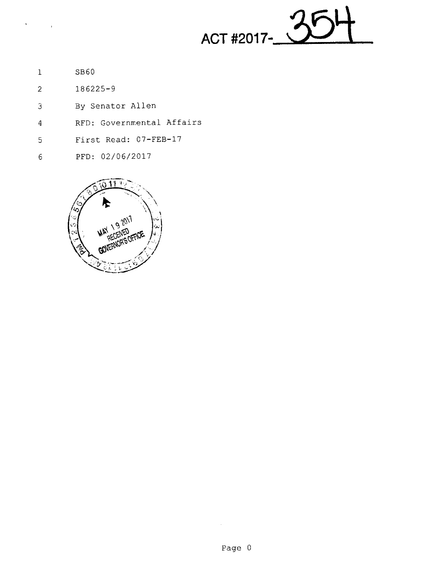ACT #2017-

SB6O  $\mathbf 1$ 

 $\mathbf{v} = \left\{ \begin{array}{ll} 0 & \mathbf{v} \\ \mathbf{v} & \mathbf{v} \end{array} \right\}$ 

- 186225—9  $\overline{2}$
- By Senator Allen  $\mathfrak{Z}$
- RFD: Governmental Affairs  $\overline{4}$
- First Read: O7-FEB—l7  $\overline{5}$
- PFD: 02/06/2017  $\epsilon$



 $\hat{\mathcal{A}}$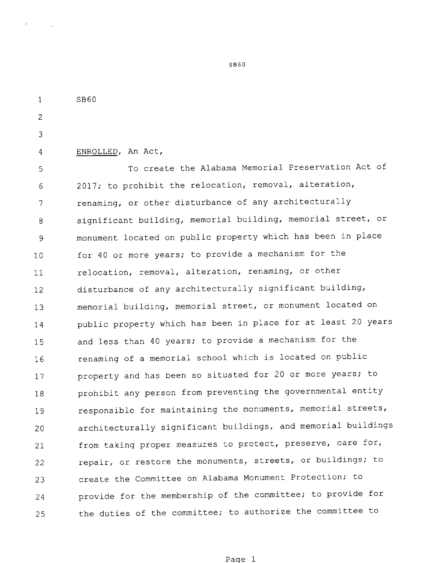$\mathbf{1}$ 8860

 $\overline{2}$ 

3

 $\overline{4}$ 

ENROLLED, An Act,

To create the Alabama Memorial Preservation Act of 5 2017; to prohibit the relocation, removal, alteration, 6 renaming, or other disturbance of any architecturally 7 significant building, memorial building, memorial street, or 8 monument located on public property which has been in place 9 for 40 or more years; to provide a mechanism for the 10 relocation, removal, alteration, renaming, or other  $11$ disturbance of any architecturally significant building, 12 memorial building, memorial street, or monument located on l3 public property which has been in place for at least <sup>20</sup> years 14 and less than <sup>40</sup> years; to provide <sup>a</sup> mechanism for the 15 renaming of <sup>a</sup> memorial school which is located on public l6 property and has been so situated for 20 or more years; to 17 prohibit any person from preventing the governmental entity 18 responsible for maintaining the monuments, memorial streets, 19 architecturally significant buildings, and memorial buildings 20 from taking proper measures to protect, preserve, care for, 21 repair, or restore the monuments, streets, or buildings; to 22 create the Committee on Alabama Monument Protection; to 23 provide for the membership of the committee; to provide for 24 the duties of the committee; to authorize the committee to 25

SB60

Page <sup>1</sup>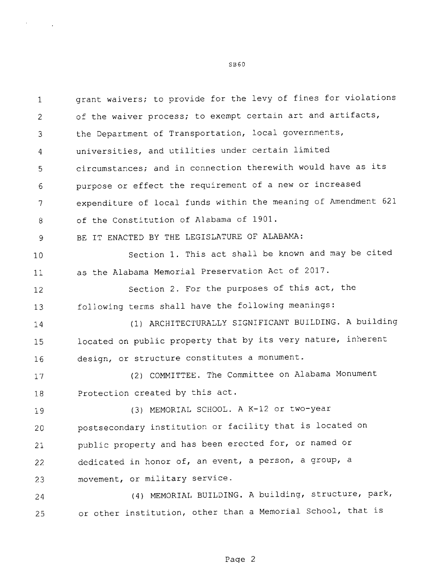grant waivers; to provide for the levy of fines for violations  $\mathbf{1}$ of the waiver process; to exempt certain art and artifacts,  $\mathfrak{D}$ the Department of Transportation, local governments, 3 universities, and utilities under certain limited  $\overline{4}$ circumstances; and in connection therewith would have as its 5 purpose or effect the requirement of a new or increased 6 expenditure of local funds within the meaning of Amendment 621  $\overline{7}$ of the Constitution of Alabama of 1901. 8 BE IT ENACTED BY THE LEGISLATURE OF ALABAMA: 9 Section 1. This act shall be known and may be cited 10 as the Alabama Memorial Preservation Act of 2017. 11 Section 2. For the purposes of this act, the 12 following terms shall have the following meanings: 13 (l) ARCHITECTURALLY SIGNIFICANT BUILDING. A building 14 located on public property that by its very nature, inherent 15 design, or structure constitutes a monument. 16 (2) COMMITTEE. The Committee on Alabama Monument 17 Protection created by this act. 18 (3) MEMORIAL SCHOOL. A K—12 or two—year 19 postsecondary institution or facility that is located on 20 public property and has been erected for, or named or 21 dedicated in honor of, an event, a person, a group, a 22 movement, or military service. 23 (4) MEMORIAL BUILDING. A building, structure, park, 24 or other institution, other than <sup>a</sup> Memorial School, that is 25

SB60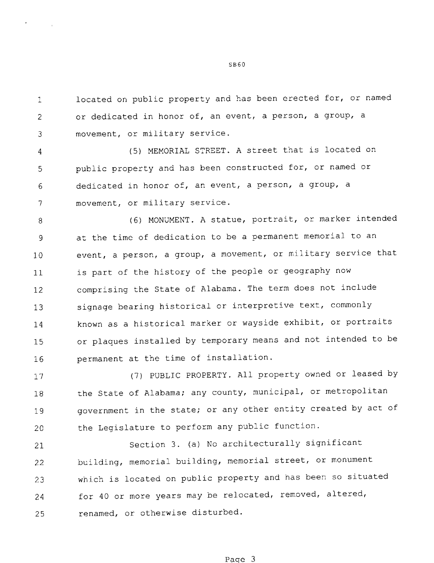located on public property and has been erected for, or named  $\mathbf{1}$ or dedicated in honor of, an event, a person, a group, a  $\overline{2}$ movement, or military service. 3

(5) MEMORIAL STREET. A street that is located on  $\overline{4}$ public property and has been constructed for, or named or 5 dedicated in honor of, an event, a person, a group, a 6  $\overline{7}$ movement, or military service.

(6) MONUMENT. A statue, portrait, or marker intended -8 at the time of dedication to be a permanent memorial to an 9 event, a person, a group, a movement, or military service that 10 is part of the history of the people or geography now 11 comprising the State of Alabama. The term does not include 12 signage bearing historical or interpretive text, commonly 13 known as a historical marker or wayside exhibit, or portraits 14 or plaques installed by temporary means and not intended to be 15 permanent at the time of installation. l6

17 18 19 20 (7) PUBLIC PROPERTY. All property owned or leased by the State of Alabama; any county, municipal, or metropolitan government in the state; or any other entity created by act of the Legislature to perform any public function.

21 22 23 24 25 Section 3. (a) No architecturally significant building, memorial building, memorial street, or monument which is located on public property and has been so situated for 40 or more years may be relocated, removed, altered, renamed, or otherwise disturbed.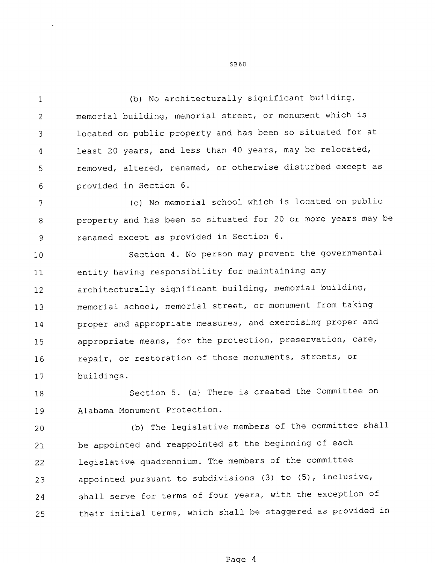(b) No architecturally significant building,  $\mathbf{1}$ memorial building, memorial street, or monument which is  $\overline{2}$ located on public property and has been so situated for at 3 least 20 years, and less than 40 years, may be relocated,  $\overline{4}$ removed, altered, renamed, or otherwise disturbed except as 5 provided in Section 6. 6

(c) No memorial school which is located on public  $\overline{7}$ property and has been so situated for 20 or more years may be 8 renamed except as provided in Section 6. 9

10 11 12 13 14 15 16 17 Section 4. No person may prevent the governmental entity having responsibility for maintaining any architecturally significant building, memorial building, memorial school, memorial street, or monument from taking proper and appropriate measures, and exercising proper and appropriate means, for the protection, preservation, care, repair, or restoration of those monuments, streets, or buildings.

18 19 Section 5. (a) There is created the Committee on Alabama Monument Protection.

20 21 22 23 24 25 (b) The legislative members of the committee shall be appointed and reappointed at the beginning of each legislative quadrennium. The members of the committee appointed pursuant to subdivisions (3) to (5), inclusive, shall serve for terms of four years, with the exception of their initial terms, which shall be staggered as provided in

5360

Page 4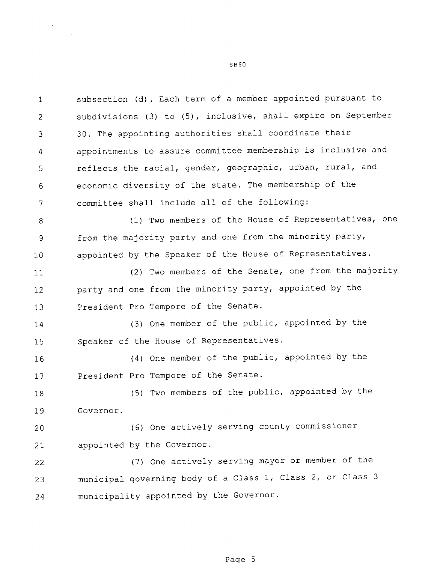subsection (d). Each term of a member appointed pursuant to  $\mathbf{1}$ subdivisions (3) to (5), inclusive, shall expire on September  $\overline{2}$ 30. The appointing authorities shall coordinate their 3 appointments to assure committee membership is inclusive and  $\overline{A}$ reflects the racial, gender, geographic, urban, rural, and 5 economic diversity of the state. The membership of the 6  $\overline{7}$ committee shall include all of the following: (1) Two members of the House of Representatives, one  $\mathsf{R}$ from the majority party and one from the minority party,  $\ddot{q}$ appointed by the Speaker of the House of Representatives. 10 (2) Two members of the Senate, one from the majority 11 party and one from the minority party, appointed by the 12 President Pro Tempore of the Senate. 13 (3) One member of the public, appointed by the 14 Speaker of the House of Representatives. 15 (4) One member of the public, appointed by the 16 President Pro Tempore of the Senate. 17 (5) Two members of the public, appointed by the 18 Governor. 19 (6) One actively serving county commissioner 20 appointed by the Governor. 21 (7) One actively serving mayor or member of the 22 municipal governing body of a Class 1, Class 2, or Class 3 23 municipality appointed by the Governor. 24

8860

Page 5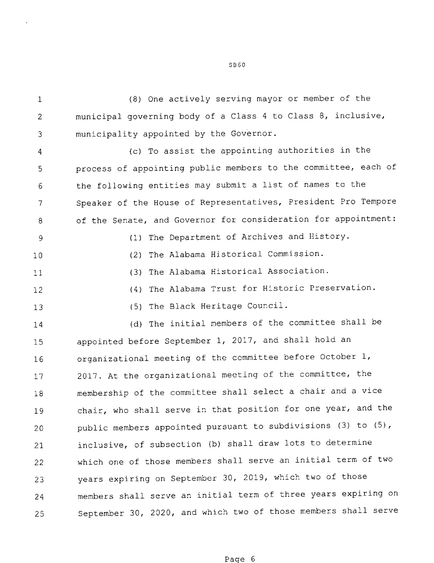$\mathbf{1}$ (8) One actively serving mayor or member of the municipal governing body of a Class <sup>4</sup> to Class 8, inclusive,  $\mathfrak{D}$ municipality appointed by the Governor. 3

(c) To assist the appointing authorities in the  $\overline{4}$ process of appointing public members to the committee, each of 5 the following entities may submit a list of names to the 6 Speaker of the House of Representatives, President Pro Tempore  $\overline{7}$ of the Senate, and Governor for consideration for appointment: 8 (1) The Department of Archives and History. 9 (2) The Alabama Historical Commission. 10 (3) The Alabama Historical Association. 11 (4) The Alabama Trust for Historic Preservation. 12 (5) The Black Heritage Council. 13 (d) The initial members of the committee shall be 14 appointed before September 1, 2017, and shall hold an 15 organizational meeting of the committee before October 1, 16 2017. At the organizational meeting of the committee, the 17 membership of the committee shall select <sup>a</sup> chair and <sup>a</sup> vice 18 chair, who shall serve in that position for one year, and the 19 public members appointed pursuant to subdivisions (3) to (5), 20 inclusive, of subsection (b) shall draw lots to determine 21 which one of those members shall serve an initial term of two 22 years expiring on September 30, 2019, which two of those 23 members shall serve an initial term of three years expiring on 24 September 30, 2020, and which two of those members shall serve 25

Page <sup>6</sup>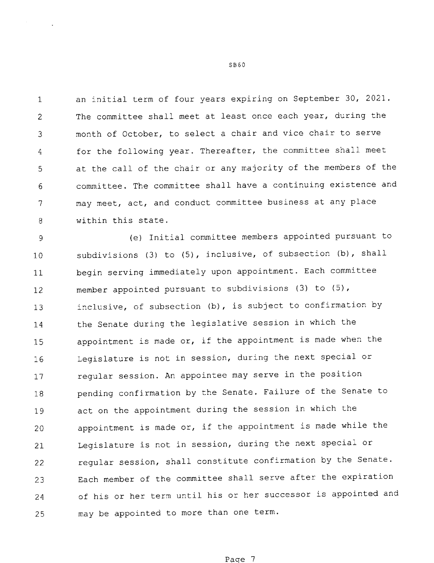an initial term of four years expiring on September 30, 2021.  $\mathbf{1}$ The committee shall meet at least once each year, during the  $\mathcal{P}$ month of October, to select a chair and vice chair to serve 3 for the following year. Thereafter, the committee shall meet  $\overline{4}$ at the call of the chair or any majority of the members of the  $\mathfrak{S}$ committee. The committee shall have <sup>a</sup> continuing existence and 6 may meet, act, and conduct committee business at any place 7  $\mathbf{B}$ within this state.

(e) Initial committee members appointed pursuant to 9 subdivisions (3) to (5), inclusive, of subsection (b), shall 10 begin serving immediately upon appointment. Each committee 11 member appointed pursuant to subdivisions (3) to (5), 12 inclusive, of subsection (b), is subject to confirmation by 13 the Senate during the legislative session in which the 14 appointment is made or, if the appointment is made when the 15 Legislature is not in session, during the next special or 16 regular session. An appointee may serve in the position 17 pending confirmation by the Senate. Failure of the Senate to 18 act on the appointment during the session in which the 19 appointment is made or, if the appointment is made while the 20 Legislature is not in session, during the next special or 21 regular session, shall constitute confirmation by the Senate. 22 Each member of the committee shall serve after the expiration 23 of his or her term until his or her successor is appointed and 24 may be appointed to more than one term. 25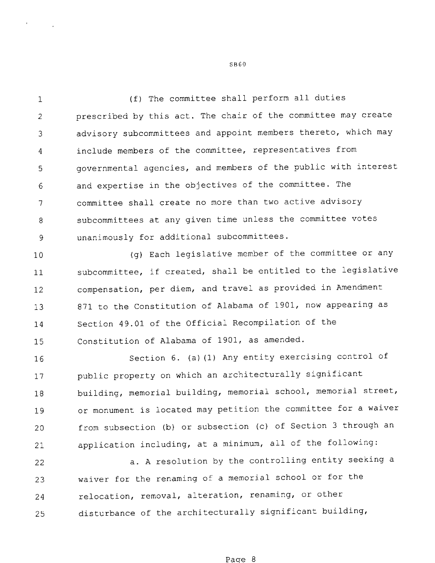(f) The committee shall perform all duties  $\mathbf{1}$ prescribed by this act. The chair of the committee may create  $\overline{2}$ advisory subcommittees and appoint members thereto, which may  $\overline{3}$ include members of the committee, representatives from  $\overline{4}$ governmental agencies, and members of the public with interest 5 and expertise in the objectives of the committee. The 6 committee shall create no more than two active advisory  $\overline{7}$ subcommittees at any given time unless the committee votes 8 unanimously for additional subcommittees. 9

10 11 12 l3 14 15 (g) Each legislative member of the committee or any subcommittee, if created, shall be entitled to the legislative compensation, per diem, and travel as provided in Amendment 871 to the Constitution of Alabama of 1901, now appearing as Section 49.01 of the Official Recompilation of the Constitution of Alabama of 1901, as amended.

16 17 18 19 20 21 Section 6. (a)(1) Any entity exercising control of public property on which an architecturally significant building, memorial building, memorial school, memorial street, or monument is located may petition the committee for <sup>a</sup> waiver from subsection (b) or subsection (c) of Section <sup>3</sup> through an application including, at <sup>a</sup> minimum, all of the following:

22 23 24 25 a. A resolution by the controlling entity seeking <sup>a</sup> waiver for the renaming of <sup>a</sup> memorial school or for the relocation, removal, alteration, renaming, or other disturbance of the architecturally significant building,

SBEO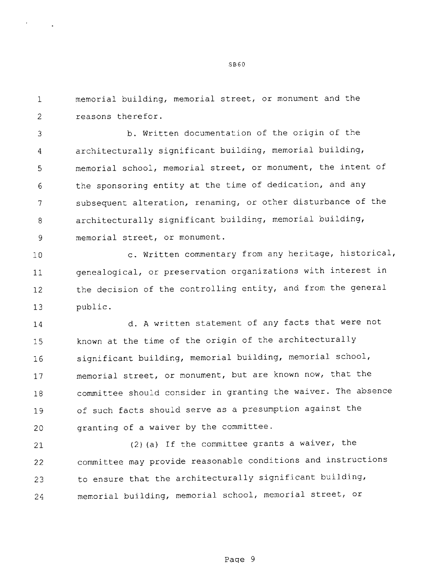memorial building, memorial street, or monument and the reasons therefor.

 $\mathbf{1}$ 

 $\mathcal{L}$ 

b. Written documentation of the origin of the 3 architecturally significant building, memorial building,  $\overline{4}$ memorial school, memorial street, or monument, the intent of 5 the sponsoring entity at the time of dedication, and any 6  $\overline{7}$ subsequent alteration, renaming, or other disturbance of the architecturally significant building, memorial building,  $\mathsf{a}$  $\overline{9}$ memorial street, or monument.

10 11 12 13 c. Written commentary from any heritage, historical, genealogical, or preservation organizations with interest in the decision of the controlling entity, and from the general public.

14 15 16 17 18 19 20 d. A written statement of any facts that were not known at the time of the origin of the architecturally significant building, memorial building, memorial school, memorial street, or monument, but are known now, that the committee should consider in granting the waiver. The absence of such facts should serve as <sup>a</sup> presumption against the granting of a waiver by the committee.

21 22 23 24 (2)(a) If the committee grants a waiver, the committee may provide reasonable conditions and instructions to ensure that the architecturally significant building, memorial building, memorial school, memorial street, or

SB6O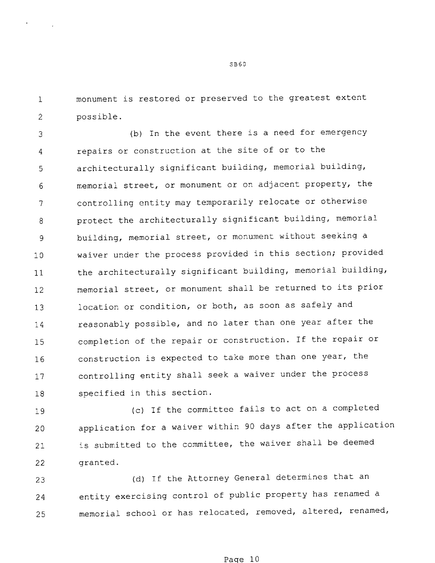monument is restored or preserved to the greatest extent  $\mathbf{1}$  $\overline{2}$ possible.

(b) In the event there is a need for emergency 3 repairs or construction at the site of or to the  $\overline{4}$ architecturally significant building, memorial building, 5 memorial street, or monument or on adjacent property, the 6 controlling entity may temporarily relocate or otherwise  $\overline{7}$ protect the architecturally significant building, memorial 8 building, memorial street, or monument without seeking a 9 waiver under the process provided in this section; provided 10 the architecturally significant building, memorial building, 11 memorial street, or monument shall be returned to its prior 12 location or condition, or both, as soon as safely and 13 reasonably possible, and no later than one year after the 14 completion of the repair or construction. If the repair or 15 construction is expected to take more than one year, the 16 controlling entity shall seek a waiver under the process 17 specified in this section. 18

19 20 21 22 (c) If the committee fails to act on a completed application for <sup>a</sup> waiver within <sup>90</sup> days after the application is submitted to the committee, the waiver shall be deemed granted.

23 24 25 (d) If the Attorney General determines that an entity exercising control of public property has renamed <sup>a</sup> memorial school or has relocated, removed, altered, renamed,

SB6O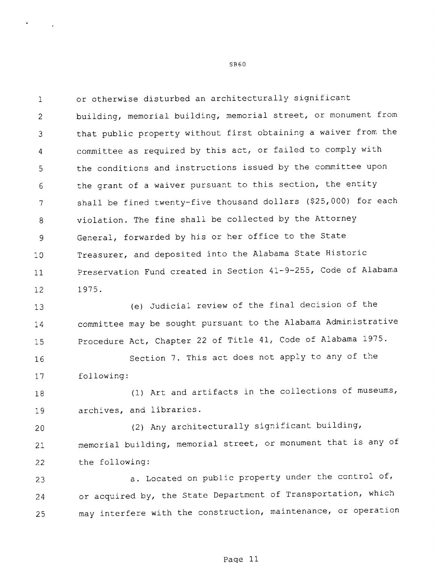or otherwise disturbed an architecturally significant  $\mathbf{1}$ building, memorial building, memorial street, or monument from  $\mathcal{L}$ that public property without first obtaining a waiver from the 3 committee as required by this act, or failed to comply with  $\boldsymbol{4}$ the conditions and instructions issued by the committee upon 5 the grant of a waiver pursuant to this section, the entity 6 shall be fined twenty—five thousand dollars (\$25,000) for each  $\overline{7}$ violation. The fine shall be collected by the Attorney  $\Omega$ General, forwarded by his or her office to the State  $\overline{9}$ Treasurer, and deposited into the Alabama State Historic 10 Preservation Fund created in Section 41-9-255, Code of Alabama 11 1975. 12

13 14 15 (e) Judicial review of the final decision of the committee may be sought pursuant to the Alabama Administrative Procedure Act, Chapter 22 of Title 41, Code of Alabama 1975.

16 17 Section 7. This act does not apply to any of the following:

18 19 (1) Art and artifacts in the collections of museums, archives, and libraries.

20 21 22 (2) Any architecturally significant building, memorial building, memorial street, or monument that is any of the following:

23 24 25 a. Located on public property under the control of, or acquired by, the State Department of Transportation, which may interfere with the construction, maintenance, or operation

SB6O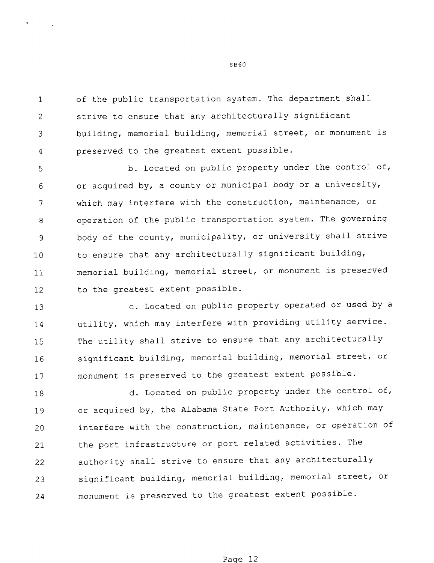of the public transportation system. The department shall  $\mathbf{1}$ strive to ensure that any architecturally significant  $\mathcal{D}$ building, memorial building, memorial street, or monument is 3 preserved to the greatest extent possible.  $\overline{4}$ 

b. Located on public property under the control of, 5 or acquired by, a county or municipal body or a university, 6 which may interfere with the construction, maintenance, or  $\overline{7}$ operation of the public transportation system. The governing 8 body of the county, municipality, or university shall strive 9 to ensure that any architecturally significant building, 10 memorial building, memorial street, or monument is preserved 11 to the greatest extent possible. 12

13 14 15 16 17 c. Located on public property operated or used by <sup>a</sup> utility, which may interfere with providing utility service. The utility shall strive to ensure that any architecturally significant building, memorial building, memorial street, or monument is preserved to the greatest extent possible.

18 19 20 21 22 23 24 d. Located on public property under the control of, or acquired by, the Alabama State Port Authority, which may interfere with the construction, maintenance, or operation of the port infrastructure or port related activities. The authority shall strive to ensure that any architecturally significant building, memorial building, memorial street, or monument is preserved to the greatest extent possible.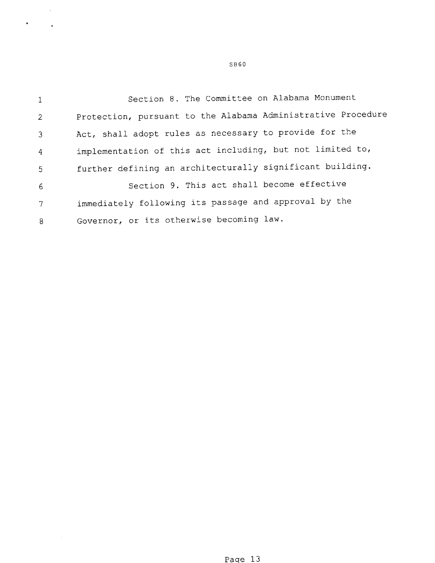Section 8. The Committee on Alabama Monument  $\mathbf{1}$ Protection, pursuant to the Alabama Administrative Procedure  $\overline{2}$ Act, shall adopt rules as necessary to provide for the  $\overline{3}$ implementation of this act including, but not limited to,  $\overline{4}$ further defining an architecturally significant building. 5 Section 9. This act shall become effective 6 immediately following its passage and approval by the  $\overline{7}$ Governor, or its otherwise becoming law. 8

 $\bar{z}$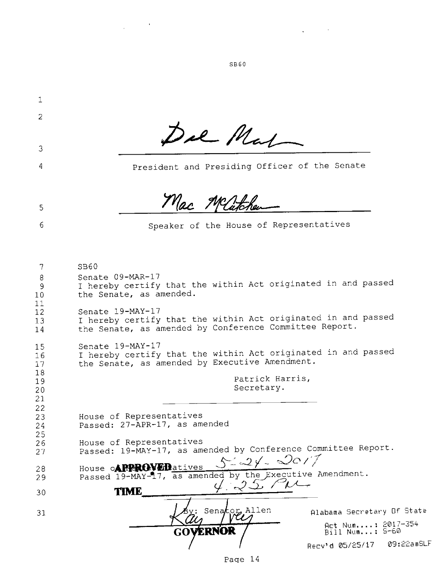Del Mal Mac Mathematics of the House of Represent<br>
Mac *Mathematics* of the House of Represent<br>
that the within Act originate<br>
that the within Act originate<br>
that the within Act originate<br>
that the within Act originate<br>
that the w 2 Del Mal 3 President and Presiding Officer of the Senate 4 Mac Meliter **Via:** Muther<br>
that the within Act originated<br>
that the within Act originated<br>
that the within Act originated<br>
that the within Act originated<br>
that the within Act originated<br>
that the within Act originated<br>
that the withi 5 Speaker of the House of Representatives 6 8360 7 8 Senate 09-MAR—17 <sup>I</sup> hereby certify that the within Act originated in and passed  $\begin{array}{c} 9 \\ 10 \end{array}$ the Senate, as amended.  $11$ Senate l9-MAY—l7 12 senate is-mar I.<br>I hereby certify that the within Act originated in and passed 13 the Senate, as amended by Conference Committee Report. 14 Senate 19-MAY-17 15 senate is nafit?<br>I hereby certify that the within Act originated in and passed l6 the Senate, as amended by Executive Amendment. 17 18 Patrick Harris, 19 Secretary. 20 21 22 House of Representatives 23 Passed: 27—APR—17, as amended 24 25 House of Representatives 26 Passed: 19-MAY-17, as amended by Conference Committee Report.<br>House o**APPROVED**atives 5-2/-00/7 27 House **APPROVED** atives  $0 - \leq x \leq 1$ .<br>Passed 19-MAY-17, as amended by the Executive Amendment. 28 29  $35$  Pu TIME 30 Senator Allen (Alabama Secretary Of State) 31 Act Num....: 2017-354  $\textbf{ERNOR}$  /  $\text{Biil Num.}$  : 8-60 Recv'd 05/25/17 09:22amSLF

Page 14

SBEO